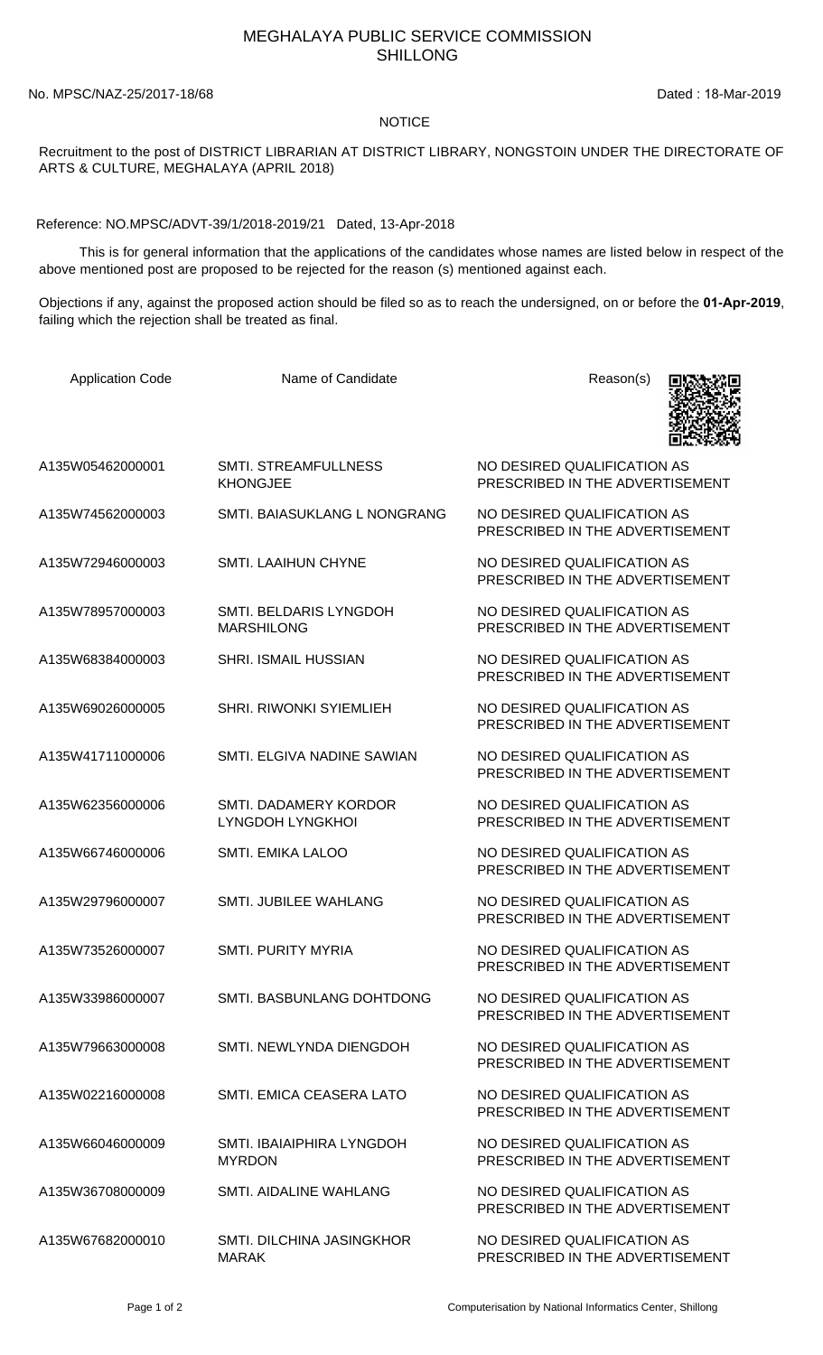## MEGHALAYA PUBLIC SERVICE COMMISSION SHILLONG

No. MPSC/NAZ-25/2017-18/68 Dated : 18-Mar-2019

## **NOTICE**

Recruitment to the post of DISTRICT LIBRARIAN AT DISTRICT LIBRARY, NONGSTOIN UNDER THE DIRECTORATE OF ARTS & CULTURE, MEGHALAYA (APRIL 2018)

Reference: NO.MPSC/ADVT-39/1/2018-2019/21 Dated, 13-Apr-2018

 This is for general information that the applications of the candidates whose names are listed below in respect of the above mentioned post are proposed to be rejected for the reason (s) mentioned against each.

Objections if any, against the proposed action should be filed so as to reach the undersigned, on or before the **01-Apr-2019**, failing which the rejection shall be treated as final.

| <b>Application Code</b> | Name of Candidate                                | Reason(s)                                                      |
|-------------------------|--------------------------------------------------|----------------------------------------------------------------|
| A135W05462000001        | <b>SMTI. STREAMFULLNESS</b><br><b>KHONGJEE</b>   | NO DESIRED QUALIFICATION AS<br>PRESCRIBED IN THE ADVERTISEMENT |
| A135W74562000003        | SMTI. BAIASUKLANG L NONGRANG                     | NO DESIRED QUALIFICATION AS<br>PRESCRIBED IN THE ADVERTISEMENT |
| A135W72946000003        | <b>SMTI. LAAIHUN CHYNE</b>                       | NO DESIRED QUALIFICATION AS<br>PRESCRIBED IN THE ADVERTISEMENT |
| A135W78957000003        | SMTI. BELDARIS LYNGDOH<br><b>MARSHILONG</b>      | NO DESIRED QUALIFICATION AS<br>PRESCRIBED IN THE ADVERTISEMENT |
| A135W68384000003        | <b>SHRI. ISMAIL HUSSIAN</b>                      | NO DESIRED QUALIFICATION AS<br>PRESCRIBED IN THE ADVERTISEMENT |
| A135W69026000005        | <b>SHRI. RIWONKI SYIEMLIEH</b>                   | NO DESIRED QUALIFICATION AS<br>PRESCRIBED IN THE ADVERTISEMENT |
| A135W41711000006        | SMTL ELGIVA NADINE SAWIAN                        | NO DESIRED QUALIFICATION AS<br>PRESCRIBED IN THE ADVERTISEMENT |
| A135W62356000006        | SMTI. DADAMERY KORDOR<br><b>LYNGDOH LYNGKHOI</b> | NO DESIRED QUALIFICATION AS<br>PRESCRIBED IN THE ADVERTISEMENT |
| A135W66746000006        | <b>SMTI. EMIKA LALOO</b>                         | NO DESIRED QUALIFICATION AS<br>PRESCRIBED IN THE ADVERTISEMENT |
| A135W29796000007        | <b>SMTI. JUBILEE WAHLANG</b>                     | NO DESIRED QUALIFICATION AS<br>PRESCRIBED IN THE ADVERTISEMENT |
| A135W73526000007        | <b>SMTI. PURITY MYRIA</b>                        | NO DESIRED QUALIFICATION AS<br>PRESCRIBED IN THE ADVERTISEMENT |
| A135W33986000007        | SMTI. BASBUNLANG DOHTDONG                        | NO DESIRED QUALIFICATION AS<br>PRESCRIBED IN THE ADVERTISEMENT |
| A135W79663000008        | SMTI. NEWLYNDA DIENGDOH                          | NO DESIRED QUALIFICATION AS<br>PRESCRIBED IN THE ADVERTISEMENT |
| A135W02216000008        | SMTI. EMICA CEASERA LATO                         | NO DESIRED QUALIFICATION AS<br>PRESCRIBED IN THE ADVERTISEMENT |
| A135W66046000009        | SMTI. IBAIAIPHIRA LYNGDOH<br><b>MYRDON</b>       | NO DESIRED QUALIFICATION AS<br>PRESCRIBED IN THE ADVERTISEMENT |
| A135W36708000009        | SMTI. AIDALINE WAHLANG                           | NO DESIRED QUALIFICATION AS<br>PRESCRIBED IN THE ADVERTISEMENT |
| A135W67682000010        | SMTI. DILCHINA JASINGKHOR<br><b>MARAK</b>        | NO DESIRED QUALIFICATION AS<br>PRESCRIBED IN THE ADVERTISEMENT |